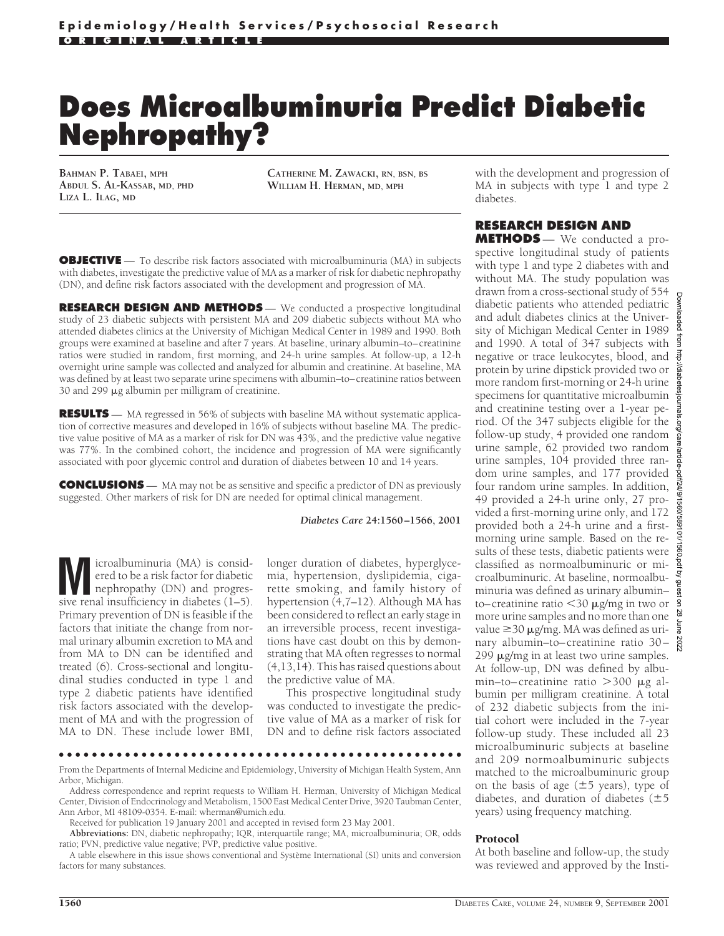# **Does Microalbuminuria Predict Diabetic Nephropathy?**

**BAHMAN P. TABAEI, MPH ABDUL S. AL-KASSAB, MD, PHD LIZA L. ILAG, MD**

**CATHERINE M. ZAWACKI, RN, BSN, BS WILLIAM H. HERMAN, MD, MPH**

**OBJECTIVE** — To describe risk factors associated with microalbuminuria (MA) in subjects with diabetes, investigate the predictive value of MA as a marker of risk for diabetic nephropathy (DN), and define risk factors associated with the development and progression of MA.

**RESEARCH DESIGN AND METHODS** — We conducted a prospective longitudinal study of 23 diabetic subjects with persistent MA and 209 diabetic subjects without MA who attended diabetes clinics at the University of Michigan Medical Center in 1989 and 1990. Both groups were examined at baseline and after 7 years. At baseline, urinary albumin–to–creatinine ratios were studied in random, first morning, and 24-h urine samples. At follow-up, a 12-h overnight urine sample was collected and analyzed for albumin and creatinine. At baseline, MA was defined by at least two separate urine specimens with albumin–to–creatinine ratios between 30 and 299  $\mu$ g albumin per milligram of creatinine.

**RESULTS** — MA regressed in 56% of subjects with baseline MA without systematic application of corrective measures and developed in 16% of subjects without baseline MA. The predictive value positive of MA as a marker of risk for DN was 43%, and the predictive value negative was 77%. In the combined cohort, the incidence and progression of MA were significantly associated with poor glycemic control and duration of diabetes between 10 and 14 years.

**CONCLUSIONS** — MA may not be as sensitive and specific a predictor of DN as previously suggested. Other markers of risk for DN are needed for optimal clinical management.

#### *Diabetes Care* **24:1560–1566, 2001**

**M** icroalbuminuria (MA) is considered to be a risk factor for diabetic<br>nephropathy (DN) and progres-<br>sive renal insufficiency in diabetes (1–5) ered to be a risk factor for diabetic sive renal insufficiency in diabetes (1–5). Primary prevention of DN is feasible if the factors that initiate the change from normal urinary albumin excretion to MA and from MA to DN can be identified and treated (6). Cross-sectional and longitudinal studies conducted in type 1 and type 2 diabetic patients have identified risk factors associated with the development of MA and with the progression of MA to DN. These include lower BMI,

longer duration of diabetes, hyperglycemia, hypertension, dyslipidemia, cigarette smoking, and family history of hypertension (4,7–12). Although MA has been considered to reflect an early stage in an irreversible process, recent investigations have cast doubt on this by demonstrating that MA often regresses to normal (4,13,14). This has raised questions about the predictive value of MA.

This prospective longitudinal study was conducted to investigate the predictive value of MA as a marker of risk for DN and to define risk factors associated

#### ●●●●●●●●●●●●●●●●●●●●●●●●●●●●●●●●●●●●●●●●●●●●●●●●●

From the Departments of Internal Medicine and Epidemiology, University of Michigan Health System, Ann Arbor, Michigan.

Address correspondence and reprint requests to William H. Herman, University of Michigan Medical Center, Division of Endocrinology and Metabolism, 1500 East Medical Center Drive, 3920 Taubman Center, Ann Arbor, MI 48109-0354. E-mail: wherman@umich.edu.

Received for publication 19 January 2001 and accepted in revised form 23 May 2001.

**Abbreviations:** DN, diabetic nephropathy; IQR, interquartile range; MA, microalbuminuria; OR, odds ratio; PVN, predictive value negative; PVP, predictive value positive.

A table elsewhere in this issue shows conventional and Système International (SI) units and conversion factors for many substances.

#### with the development and progression of MA in subjects with type 1 and type 2 diabetes.

## **RESEARCH DESIGN AND**

**METHODS** — We conducted a prospective longitudinal study of patients with type 1 and type 2 diabetes with and without MA. The study population was drawn from a cross-sectional study of 554 diabetic patients who attended pediatric and adult diabetes clinics at the University of Michigan Medical Center in 1989 and 1990. A total of 347 subjects with  $\frac{3}{9}$ negative or trace leukocytes, blood, and protein by urine dipstick provided two or more random first-morning or 24-h urine specimens for quantitative microalbumin and creatinine testing over a 1-year period. Of the 347 subjects eligible for the follow-up study, 4 provided one random urine sample, 62 provided two random urine samples, 104 provided three random urine samples, and 177 provided four random urine samples. In addition, 49 provided a 24-h urine only, 27 provided a first-morning urine only, and 172 provided both a 24-h urine and a firstmorning urine sample. Based on the results of these tests, diabetic patients were classified as normoalbuminuric or microalbuminuric. At baseline, normoalbuminuria was defined as urinary albumin– to–creatinine ratio <30 µg/mg in two or more urine samples and no more than one value  $\geq$ 30  $\mu$ g/mg. MA was defined as urinary albumin–to–creatinine ratio 30– 299  $\mu$ g/mg in at least two urine samples. At follow-up, DN was defined by albumin–to–creatinine ratio  $>300 \mu g$  albumin per milligram creatinine. A total of 232 diabetic subjects from the initial cohort were included in the 7-year follow-up study. These included all 23 microalbuminuric subjects at baseline and 209 normoalbuminuric subjects matched to the microalbuminuric group on the basis of age  $(\pm 5 \text{ years})$ , type of diabetes, and duration of diabetes  $(\pm 5)$ years) using frequency matching.

**Downloaded** 

ਰੋ

#### Protocol

At both baseline and follow-up, the study was reviewed and approved by the Insti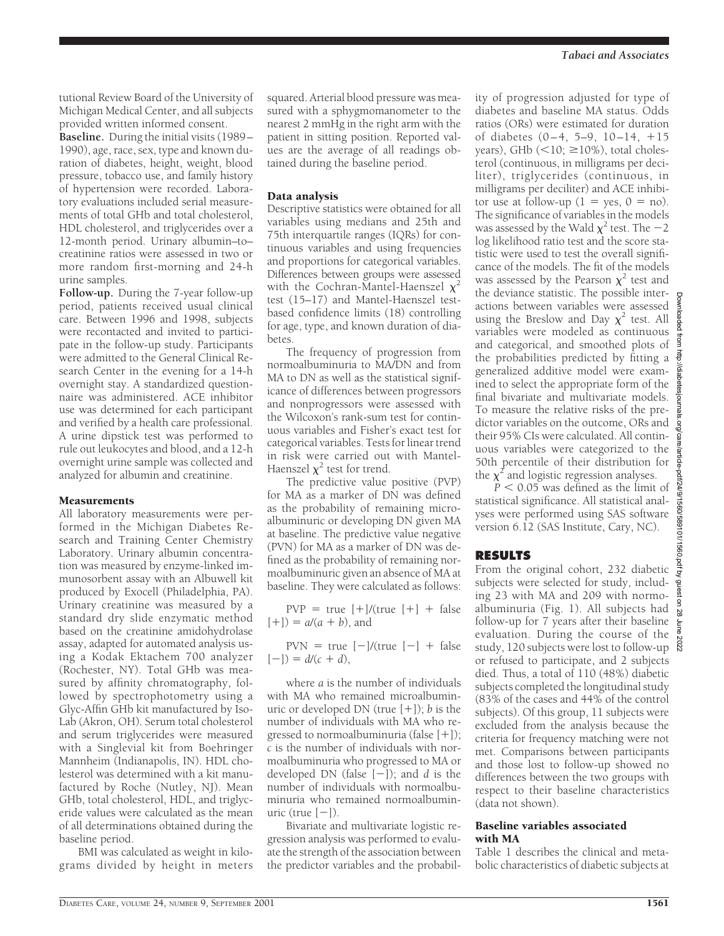tutional Review Board of the University of Michigan Medical Center, and all subjects provided written informed consent.

**Baseline.** During the initial visits (1989– 1990), age, race, sex, type and known duration of diabetes, height, weight, blood pressure, tobacco use, and family history of hypertension were recorded. Laboratory evaluations included serial measurements of total GHb and total cholesterol, HDL cholesterol, and triglycerides over a 12-month period. Urinary albumin–to– creatinine ratios were assessed in two or more random first-morning and 24-h urine samples.

**Follow-up.** During the 7-year follow-up period, patients received usual clinical care. Between 1996 and 1998, subjects were recontacted and invited to participate in the follow-up study. Participants were admitted to the General Clinical Research Center in the evening for a 14-h overnight stay. A standardized questionnaire was administered. ACE inhibitor use was determined for each participant and verified by a health care professional. A urine dipstick test was performed to rule out leukocytes and blood, and a 12-h overnight urine sample was collected and analyzed for albumin and creatinine.

### Measurements

All laboratory measurements were performed in the Michigan Diabetes Research and Training Center Chemistry Laboratory. Urinary albumin concentration was measured by enzyme-linked immunosorbent assay with an Albuwell kit produced by Exocell (Philadelphia, PA). Urinary creatinine was measured by a standard dry slide enzymatic method based on the creatinine amidohydrolase assay, adapted for automated analysis using a Kodak Ektachem 700 analyzer (Rochester, NY). Total GHb was measured by affinity chromatography, followed by spectrophotometry using a Glyc-Affin GHb kit manufactured by Iso-Lab (Akron, OH). Serum total cholesterol and serum triglycerides were measured with a Singlevial kit from Boehringer Mannheim (Indianapolis, IN). HDL cholesterol was determined with a kit manufactured by Roche (Nutley, NJ). Mean GHb, total cholesterol, HDL, and triglyceride values were calculated as the mean of all determinations obtained during the baseline period.

BMI was calculated as weight in kilograms divided by height in meters squared. Arterial blood pressure was measured with a sphygmomanometer to the nearest 2 mmHg in the right arm with the patient in sitting position. Reported values are the average of all readings obtained during the baseline period.

## Data analysis

Descriptive statistics were obtained for all variables using medians and 25th and 75th interquartile ranges (IQRs) for continuous variables and using frequencies and proportions for categorical variables. Differences between groups were assessed with the Cochran-Mantel-Haenszel  $\chi^2$ test (15–17) and Mantel-Haenszel testbased confidence limits (18) controlling for age, type, and known duration of diabetes.

The frequency of progression from normoalbuminuria to MA/DN and from MA to DN as well as the statistical significance of differences between progressors and nonprogressors were assessed with the Wilcoxon's rank-sum test for continuous variables and Fisher's exact test for categorical variables. Tests for linear trend in risk were carried out with Mantel-Haenszel  $\chi^2$  test for trend.

The predictive value positive (PVP) for MA as a marker of DN was defined as the probability of remaining microalbuminuric or developing DN given MA at baseline. The predictive value negative (PVN) for MA as a marker of DN was defined as the probability of remaining normoalbuminuric given an absence of MA at baseline. They were calculated as follows:

 $PVP = true$   $[+]/(true$   $[+] + false$  $[+]$  =  $a/(a + b)$ , and

 $PVN = true [-]/(true [-] + false$  $[-1] = d/(c + d),$ 

where *a* is the number of individuals with MA who remained microalbuminuric or developed DN (true  $[+]$ ); *b* is the number of individuals with MA who regressed to normoalbuminuria (false  $[+]$ ); *c* is the number of individuals with normoalbuminuria who progressed to MA or developed DN (false  $[-]$ ); and *d* is the number of individuals with normoalbuminuria who remained normoalbuminuric (true  $[-]$ ).

Bivariate and multivariate logistic regression analysis was performed to evaluate the strength of the association between the predictor variables and the probability of progression adjusted for type of diabetes and baseline MA status. Odds ratios (ORs) were estimated for duration of diabetes  $(0-4, 5-9, 10-14, +15)$ years), GHb  $(<10; \ge 10%)$ , total cholesterol (continuous, in milligrams per deciliter), triglycerides (continuous, in milligrams per deciliter) and ACE inhibitor use at follow-up  $(1 = yes, 0 = no)$ . The significance of variables in the models was assessed by the Wald  $\chi^2$  test. The  $-2$ log likelihood ratio test and the score statistic were used to test the overall significance of the models. The fit of the models was assessed by the Pearson  $\chi^2$  test and the deviance statistic. The possible interactions between variables were assessed using the Breslow and Day  $\chi^2$  test. All variables were modeled as continuous and categorical, and smoothed plots of the probabilities predicted by fitting a generalized additive model were examined to select the appropriate form of the final bivariate and multivariate models. To measure the relative risks of the predictor variables on the outcome, ORs and their 95% CIs were calculated. All continuous variables were categorized to the 50th percentile of their distribution for the  $\chi^2$  and logistic regression analyses.

 $P < 0.05$  was defined as the limit of statistical significance. All statistical analyses were performed using SAS software version 6.12 (SAS Institute, Cary, NC).

## **RESULTS**

From the original cohort, 232 diabetic subjects were selected for study, including 23 with MA and 209 with normoalbuminuria (Fig. 1). All subjects had follow-up for 7 years after their baseline evaluation. During the course of the study, 120 subjects were lost to follow-up or refused to participate, and 2 subjects died. Thus, a total of 110 (48%) diabetic subjects completed the longitudinal study (83% of the cases and 44% of the control subjects). Of this group, 11 subjects were excluded from the analysis because the criteria for frequency matching were not met. Comparisons between participants and those lost to follow-up showed no differences between the two groups with respect to their baseline characteristics (data not shown).

#### Baseline variables associated with MA

Table 1 describes the clinical and metabolic characteristics of diabetic subjects at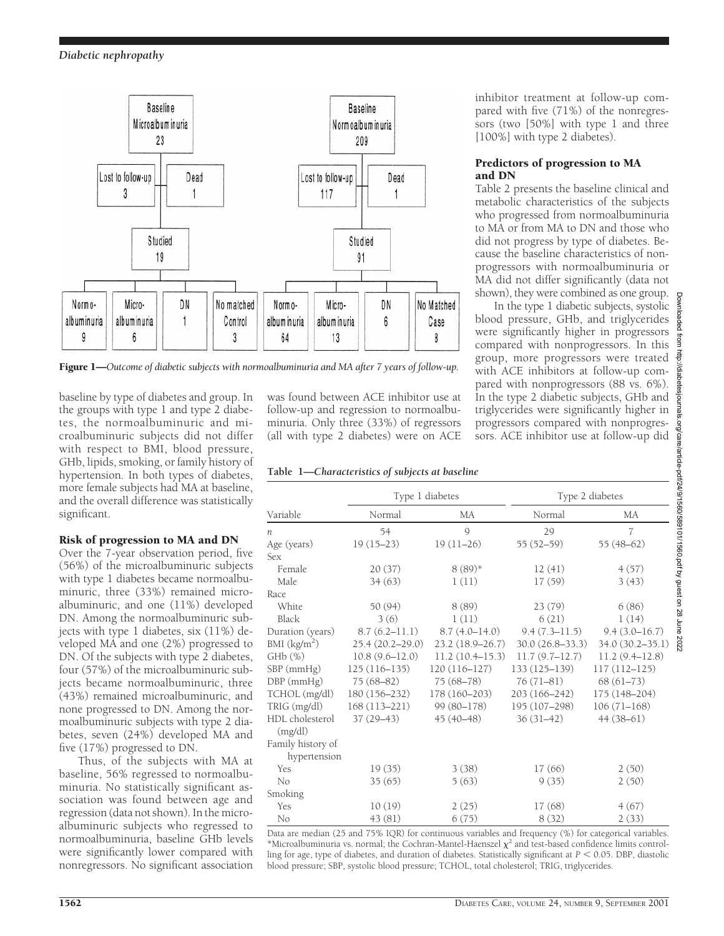

Figure 1—*Outcome of diabetic subjects with normoalbuminuria and MA after 7 years of follow-up.*

baseline by type of diabetes and group. In the groups with type 1 and type 2 diabetes, the normoalbuminuric and microalbuminuric subjects did not differ with respect to BMI, blood pressure, GHb, lipids, smoking, or family history of hypertension. In both types of diabetes, more female subjects had MA at baseline, and the overall difference was statistically significant.

# Risk of progression to MA and DN

Over the 7-year observation period, five (56%) of the microalbuminuric subjects with type 1 diabetes became normoalbuminuric, three (33%) remained microalbuminuric, and one (11%) developed DN. Among the normoalbuminuric subjects with type 1 diabetes, six (11%) developed MA and one (2%) progressed to DN. Of the subjects with type 2 diabetes, four (57%) of the microalbuminuric subjects became normoalbuminuric, three (43%) remained microalbuminuric, and none progressed to DN. Among the normoalbuminuric subjects with type 2 diabetes, seven (24%) developed MA and five (17%) progressed to DN.

Thus, of the subjects with MA at baseline, 56% regressed to normoalbuminuria. No statistically significant association was found between age and regression (data not shown). In the microalbuminuric subjects who regressed to normoalbuminuria, baseline GHb levels were significantly lower compared with nonregressors. No significant association

was found between ACE inhibitor use at follow-up and regression to normoalbuminuria. Only three (33%) of regressors (all with type 2 diabetes) were on ACE

## **Table 1—***Characteristics of subjects at baseline*

inhibitor treatment at follow-up compared with five (71%) of the nonregressors (two [50%] with type 1 and three [100%] with type 2 diabetes).

#### Predictors of progression to MA and DN

Table 2 presents the baseline clinical and metabolic characteristics of the subjects who progressed from normoalbuminuria to MA or from MA to DN and those who did not progress by type of diabetes. Because the baseline characteristics of nonprogressors with normoalbuminuria or MA did not differ significantly (data not shown), they were combined as one group.

In the type 1 diabetic subjects, syst blood pressure, GHb, and triglycer were significantly higher in progres compared with nonprogressors. In group, more progressors were treat with ACE inhibitors at follow-up compared with nonprogressors (88 vs. 6 In the type 2 diabetic subjects, GHb triglycerides were significantly higher progressors compared with nonprog sors. ACE inhibitor use at follow-up

| эuр.<br>tolic<br>ides<br>sors<br>this<br>ated<br>om-<br>5%). |      |
|--------------------------------------------------------------|------|
| and                                                          |      |
| $\overline{\text{r}}$ in                                     |      |
| gres-                                                        |      |
| did                                                          |      |
|                                                              |      |
|                                                              |      |
|                                                              |      |
|                                                              |      |
|                                                              |      |
|                                                              |      |
|                                                              |      |
|                                                              |      |
|                                                              |      |
|                                                              |      |
|                                                              |      |
|                                                              |      |
|                                                              |      |
| 5.7<br>35.                                                   |      |
| $_{\text{1)}}$                                               | 7707 |

|                            | Type 1 diabetes     |                     | Type 2 diabetes   |                    |
|----------------------------|---------------------|---------------------|-------------------|--------------------|
| Variable                   | Normal              | MA                  | Normal            | МA                 |
| n                          | 54                  | $\mathcal{Q}$       | 29                | $\overline{7}$     |
| Age (years)                | $19(15-23)$         | $19(11-26)$         | $55(52 - 59)$     | $55(48-62)$        |
| Sex                        |                     |                     |                   |                    |
| Female                     | 20(37)              | $8(89)*$            | 12(41)            | 4(57)              |
| Male                       | 34(63)              | 1(11)               | 17(59)            | 3(43)              |
| Race                       |                     |                     |                   |                    |
| White                      | 50 (94)             | 8(89)               | 23(79)            | 6(86)              |
| Black                      | 3(6)                | 1(11)               | 6(21)             | 1(14)              |
| Duration (years)           | $8.7(6.2 - 11.1)$   | $8.7(4.0-14.0)$     | $9.4(7.3 - 11.5)$ | $9.4(3.0 - 16.7)$  |
| BMI (kg/m <sup>2</sup> )   | $25.4(20.2 - 29.0)$ | $23.2(18.9 - 26.7)$ | $30.0(26.8-33.3)$ | 34.0 (30.2-35.1)   |
| GHb(%)                     | $10.8(9.6 - 12.0)$  | 11.2(10.4–15.3)     | 11.7(9.7–12.7)    | $11.2(9.4 - 12.8)$ |
| $SBP$ (mm $Hg$ )           | $125(116-135)$      | $120(116-127)$      | 133 (125-139)     | $117(112 - 125)$   |
| DBP (mmHg)                 | $75(68-82)$         | $75(68 - 78)$       | $76(71-81)$       | $68(61-73)$        |
| TCHOL (mg/dl)              | $180(156 - 232)$    | $178(160 - 203)$    | 203 (166-242)     | 175 (148-204)      |
| TRIG (mg/dl)               | $168(113 - 221)$    | 99 (80-178)         | 195 (107-298)     | $106(71-168)$      |
| HDL cholesterol<br>(mg/dl) | $37(29-43)$         | $45(40-48)$         | $36(31-42)$       | $44(38-61)$        |
| Family history of          |                     |                     |                   |                    |
| hypertension<br>Yes        | 19(35)              | 3(38)               | 17(66)            | 2(50)              |
| No                         | 35(65)              |                     | 9(35)             |                    |
|                            |                     | 5(63)               |                   | 2(50)              |
| Smoking                    |                     |                     |                   |                    |
| Yes                        | 10(19)              | 2(25)               | 17(68)            | 4(67)              |
| No                         | 43 (81)             | 6(75)               | 8(32)             | 2(33)              |

Data are median (25 and 75% IQR) for continuous variables and frequency (%) for categorical variables.  $*$ Microalbuminuria vs. normal; the Cochran-Mantel-Haenszel  $\chi^2$  and test-based confidence limits controlling for age, type of diabetes, and duration of diabetes. Statistically significant at  $P < 0.05$ . DBP, diastolic blood pressure; SBP, systolic blood pressure; TCHOL, total cholesterol; TRIG, triglycerides.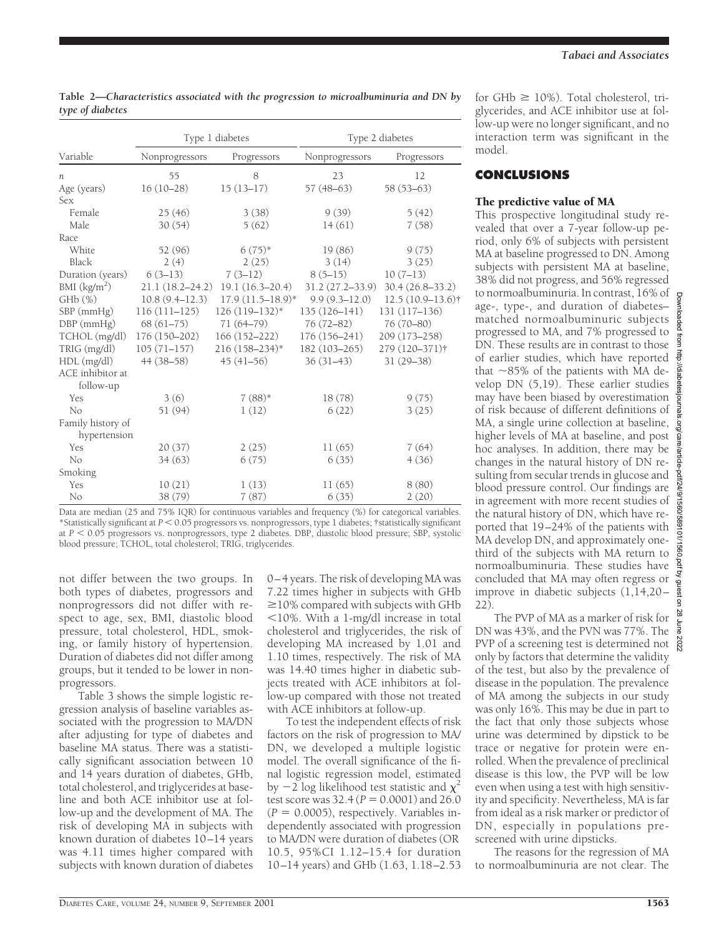| Type 1 diabetes                   |                     |                      | Type 2 diabetes     |                     |
|-----------------------------------|---------------------|----------------------|---------------------|---------------------|
| Variable                          | Nonprogressors      | Progressors          | Nonprogressors      | Progressors         |
| n.                                | 55                  | 8                    | 23                  | 12                  |
| Age (years)                       | $16(10-28)$         | $15(13-17)$          | $57(48-63)$         | $58(53-63)$         |
| Sex                               |                     |                      |                     |                     |
| Female                            | 25(46)              | 3(38)                | 9(39)               | 5(42)               |
| Male                              | 30(54)              | 5(62)                | 14(61)              | 7(58)               |
| Race                              |                     |                      |                     |                     |
| White                             | 52 (96)             | $6(75)*$             | 19(86)              | 9(75)               |
| Black                             | 2(4)                | 2(25)                | 3(14)               | 3(25)               |
| Duration (years)                  | $6(3-13)$           | $7(3-12)$            | $8(5-15)$           | $10(7-13)$          |
| BMI (kg/m <sup>2</sup> )          | $21.1(18.2 - 24.2)$ | $19.1(16.3 - 20.4)$  | $31.2(27.2 - 33.9)$ | $30.4(26.8-33.2)$   |
| $GHb$ $(\%)$                      | $10.8(9.4 - 12.3)$  | $17.9(11.5 - 18.9)*$ | $9.9(9.3 - 12.0)$   | $12.5(10.9-13.6)$ † |
| SBP (mmHg)                        | $116(111 - 125)$    | $126(119-132)*$      | $135(126 - 141)$    | 131 (117-136)       |
| $DBP$ ( $mmHg$ )                  | $68(61-75)$         | 71 (64-79)           | 76 (72-82)          | 76 (70-80)          |
| TCHOL (mg/dl)                     | $176(150-202)$      | $166(152 - 222)$     | 176 (156-241)       | 209 (173-258)       |
| TRIG (mg/dl)                      | $105(71 - 157)$     | 216 (158-234)*       | $182(103 - 265)$    | 279 (120-371)†      |
| HDL (mg/dl)                       | 44 (38-58)          | $45(41-56)$          | $36(31-43)$         | $31(29 - 38)$       |
| ACE inhibitor at<br>follow-up     |                     |                      |                     |                     |
| Yes                               | 3(6)                | $7(88)*$             | 18(78)              | 9(75)               |
| No                                | 51 (94)             | 1(12)                | 6(22)               | 3(25)               |
| Family history of<br>hypertension |                     |                      |                     |                     |
| Yes                               | 20(37)              | 2(25)                | 11(65)              | 7(64)               |
| No                                | 34(63)              | 6(75)                | 6(35)               | 4(36)               |
| Smoking                           |                     |                      |                     |                     |
| Yes                               | 10(21)              | 1(13)                | 11(65)              | 8(80)               |
| No                                | 38 (79)             | 7(87)                | 6(35)               | 2(20)               |

**Table 2—***Characteristics associated with the progression to microalbuminuria and DN by type of diabetes*

Data are median (25 and 75% IQR) for continuous variables and frequency (%) for categorical variables. \*Statistically significant at  $P < 0.05$  progressors vs. nonprogressors, type 1 diabetes; †statistically significant at  $P < 0.05$  progressors vs. nonprogressors, type 2 diabetes. DBP, diastolic blood pressure; SBP, systolic blood pressure; TCHOL, total cholesterol; TRIG, triglycerides.

not differ between the two groups. In both types of diabetes, progressors and nonprogressors did not differ with respect to age, sex, BMI, diastolic blood pressure, total cholesterol, HDL, smoking, or family history of hypertension. Duration of diabetes did not differ among groups, but it tended to be lower in nonprogressors.

Table 3 shows the simple logistic regression analysis of baseline variables associated with the progression to MA/DN after adjusting for type of diabetes and baseline MA status. There was a statistically significant association between 10 and 14 years duration of diabetes, GHb, total cholesterol, and triglycerides at baseline and both ACE inhibitor use at follow-up and the development of MA. The risk of developing MA in subjects with known duration of diabetes 10–14 years was 4.11 times higher compared with subjects with known duration of diabetes 0–4 years. The risk of developing MA was 7.22 times higher in subjects with GHb  $\geq$ 10% compared with subjects with GHb  $<$ 10%. With a 1-mg/dl increase in total cholesterol and triglycerides, the risk of developing MA increased by 1.01 and 1.10 times, respectively. The risk of MA was 14.40 times higher in diabetic subjects treated with ACE inhibitors at follow-up compared with those not treated with ACE inhibitors at follow-up.

To test the independent effects of risk factors on the risk of progression to MA/ DN, we developed a multiple logistic model. The overall significance of the final logistic regression model, estimated by  $-2$  log likelihood test statistic and  $\chi^2$ test score was  $32.4 (P = 0.0001)$  and  $26.0$  $(P = 0.0005)$ , respectively. Variables independently associated with progression to MA/DN were duration of diabetes (OR 10.5, 95%CI 1.12–15.4 for duration 10–14 years) and GHb (1.63, 1.18–2.53 for  $GHb \ge 10\%$ ). Total cholesterol, triglycerides, and ACE inhibitor use at follow-up were no longer significant, and no interaction term was significant in the model.

# **CONCLUSIONS**

## The predictive value of MA

This prospective longitudinal study revealed that over a 7-year follow-up period, only 6% of subjects with persistent MA at baseline progressed to DN. Among subjects with persistent MA at baseline, 38% did not progress, and 56% regressed to normoalbuminuria. In contrast, 16% of age-, type-, and duration of diabetes– matched normoalbuminuric subjects progressed to MA, and 7% progressed to DN. These results are in contrast to those of earlier studies, which have reported that  $\sim$ 85% of the patients with MA develop DN (5,19). These earlier studies may have been biased by overestimation of risk because of different definitions of MA, a single urine collection at baseline, higher levels of MA at baseline, and post hoc analyses. In addition, there may be changes in the natural history of DN resulting from secular trends in glucose and blood pressure control. Our findings are in agreement with more recent studies of the natural history of DN, which have reported that 19–24% of the patients with MA develop DN, and approximately onethird of the subjects with MA return to normoalbuminuria. These studies have concluded that MA may often regress or improve in diabetic subjects (1,14,20– 22).

The PVP of MA as a marker of risk for DN was 43%, and the PVN was 77%. The PVP of a screening test is determined not  $\frac{8}{8}$ only by factors that determine the validity of the test, but also by the prevalence of disease in the population. The prevalence of MA among the subjects in our study was only 16%. This may be due in part to the fact that only those subjects whose urine was determined by dipstick to be trace or negative for protein were enrolled. When the prevalence of preclinical disease is this low, the PVP will be low even when using a test with high sensitivity and specificity. Nevertheless, MA is far from ideal as a risk marker or predictor of DN, especially in populations prescreened with urine dipsticks.

The reasons for the regression of MA to normoalbuminuria are not clear. The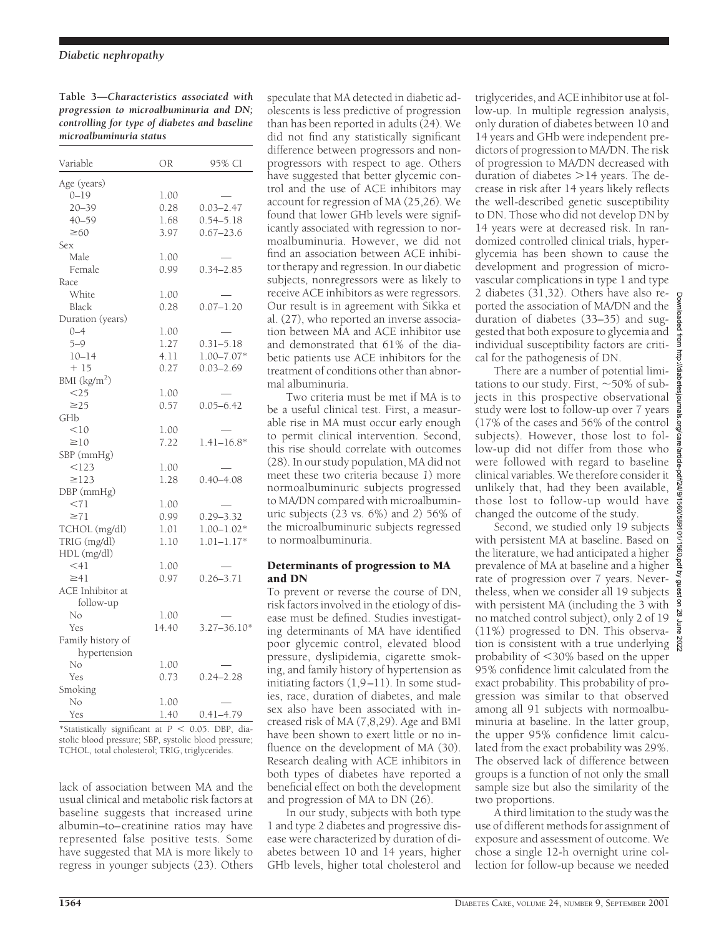**Table 3—***Characteristics associated with progression to microalbuminuria and DN; controlling for type of diabetes and baseline microalbuminuria status*

| Variable          | OR    | 95% CI          |
|-------------------|-------|-----------------|
| Age (years)       |       |                 |
| $0 - 19$          | 1.00  |                 |
| $20 - 39$         | 0.28  | $0.03 - 2.47$   |
| $40 - 59$         | 1.68  | $0.54 - 5.18$   |
| $\geq 60$         | 3.97  | $0.67 - 23.6$   |
| Sex               |       |                 |
| Male              | 1.00  |                 |
| Female            | 0.99  | $0.34 - 2.85$   |
|                   |       |                 |
| Race              |       |                 |
| White             | 1.00  |                 |
| Black             | 0.28  | $0.07 - 1.20$   |
| Duration (years)  |       |                 |
| $0 - 4$           | 1.00  |                 |
| $5 - 9$           | 1.27  | $0.31 - 5.18$   |
| $10 - 14$         | 4.11  | $1.00 - 7.07*$  |
| $+15$             | 0.27  | $0.03 - 2.69$   |
| BMI $(kg/m2)$     |       |                 |
| $<$ 25            | 1.00  |                 |
| $\geq$ 25         | 0.57  | $0.05 - 6.42$   |
| GHb               |       |                 |
| <10               | 1.00  |                 |
| $\geq10$          | 7.22  | $1.41 - 16.8*$  |
| SBP (mmHg)        |       |                 |
| < 123             | 1.00  |                 |
| $\geq$ 123        | 1.28  | $0.40 - 4.08$   |
| DBP (mmHg)        |       |                 |
| < 71              | 1.00  |                 |
| $\geq 71$         | 0.99  | $0.29 - 3.32$   |
| TCHOL (mg/dl)     | 1.01  | $1.00 - 1.02*$  |
| TRIG (mg/dl)      | 1.10  | $1.01 - 1.17*$  |
| HDL (mg/dl)       |       |                 |
| $<$ 41            | 1.00  |                 |
| $\geq 41$         | 0.97  | $0.26 - 3.71$   |
| ACE Inhibitor at  |       |                 |
|                   |       |                 |
| follow-up         |       |                 |
| No                | 1.00  |                 |
| Yes               | 14.40 | $3.27 - 36.10*$ |
| Family history of |       |                 |
| hypertension      |       |                 |
| No                | 1.00  |                 |
| Yes               | 0.73  | $0.24 - 2.28$   |
| Smoking           |       |                 |
| No                | 1.00  |                 |
| Yes               | 1.40  | 0.41–4.79       |
|                   |       |                 |

<sup>\*</sup>Statistically significant at  $P < 0.05$ . DBP, diastolic blood pressure; SBP, systolic blood pressure; TCHOL, total cholesterol; TRIG, triglycerides.

lack of association between MA and the usual clinical and metabolic risk factors at baseline suggests that increased urine albumin–to–creatinine ratios may have represented false positive tests. Some have suggested that MA is more likely to regress in younger subjects (23). Others speculate that MA detected in diabetic adolescents is less predictive of progression than has been reported in adults  $(24)$ . We did not find any statistically significant difference between progressors and nonprogressors with respect to age. Others have suggested that better glycemic control and the use of ACE inhibitors may account for regression of MA (25,26). We found that lower GHb levels were significantly associated with regression to normoalbuminuria. However, we did not find an association between ACE inhibitor therapy and regression. In our diabetic subjects, nonregressors were as likely to receive ACE inhibitors as were regressors. Our result is in agreement with Sikka et al. (27), who reported an inverse association between MA and ACE inhibitor use and demonstrated that 61% of the diabetic patients use ACE inhibitors for the treatment of conditions other than abnormal albuminuria.

Two criteria must be met if MA is to be a useful clinical test. First, a measurable rise in MA must occur early enough to permit clinical intervention. Second, this rise should correlate with outcomes (28). In our study population, MA did not meet these two criteria because *1*) more normoalbuminuric subjects progressed to MA/DN compared with microalbuminuric subjects (23 vs. 6%) and *2*) 56% of the microalbuminuric subjects regressed to normoalbuminuria.

#### Determinants of progression to MA and DN

To prevent or reverse the course of DN, risk factors involved in the etiology of disease must be defined. Studies investigating determinants of MA have identified poor glycemic control, elevated blood pressure, dyslipidemia, cigarette smoking, and family history of hypertension as initiating factors (1,9–11). In some studies, race, duration of diabetes, and male sex also have been associated with increased risk of MA (7,8,29). Age and BMI have been shown to exert little or no influence on the development of MA (30). Research dealing with ACE inhibitors in both types of diabetes have reported a beneficial effect on both the development and progression of MA to DN (26).

In our study, subjects with both type 1 and type 2 diabetes and progressive disease were characterized by duration of diabetes between 10 and 14 years, higher GHb levels, higher total cholesterol and triglycerides, and ACE inhibitor use at follow-up. In multiple regression analysis, only duration of diabetes between 10 and 14 years and GHb were independent predictors of progression to MA/DN. The risk of progression to MA/DN decreased with duration of diabetes  $>14$  years. The decrease in risk after 14 years likely reflects the well-described genetic susceptibility to DN. Those who did not develop DN by 14 years were at decreased risk. In randomized controlled clinical trials, hyperglycemia has been shown to cause the development and progression of microvascular complications in type 1 and type 2 diabetes (31,32). Others have also reported the association of MA/DN and the wnloaded from http duration of diabetes (33–35) and suggested that both exposure to glycemia and individual susceptibility factors are critical for the pathogenesis of DN.

There are a number of potential limitations to our study. First,  $\sim$  50% of subjects in this prospective observational study were lost to follow-up over 7 years (17% of the cases and 56% of the control subjects). However, those lost to follow-up did not differ from those who were followed with regard to baseline clinical variables. We therefore consider it unlikely that, had they been available, those lost to follow-up would have changed the outcome of the study.

Second, we studied only 19 subjects with persistent MA at baseline. Based on the literature, we had anticipated a higher prevalence of MA at baseline and a higher rate of progression over 7 years. Nevertheless, when we consider all 19 subjects with persistent MA (including the 3 with no matched control subject), only 2 of 19 (11%) progressed to DN. This observation is consistent with a true underlying probability of  $<$ 30% based on the upper 95% confidence limit calculated from the exact probability. This probability of progression was similar to that observed among all 91 subjects with normoalbuminuria at baseline. In the latter group, the upper 95% confidence limit calculated from the exact probability was 29%. The observed lack of difference between groups is a function of not only the small sample size but also the similarity of the two proportions.

A third limitation to the study was the use of different methods for assignment of exposure and assessment of outcome. We chose a single 12-h overnight urine collection for follow-up because we needed

//diabetespournals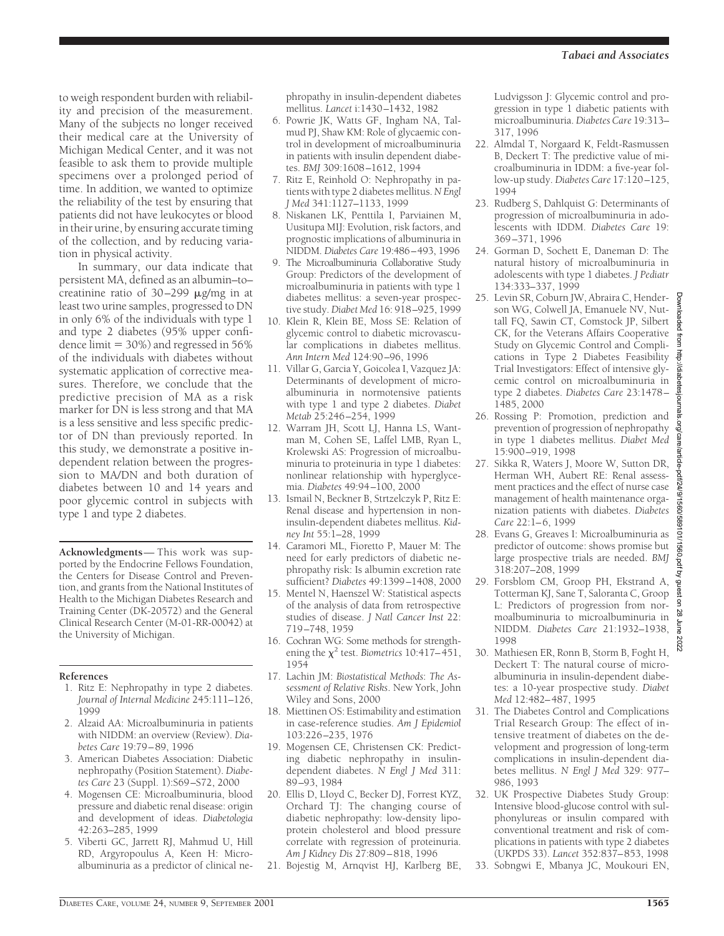to weigh respondent burden with reliability and precision of the measurement. Many of the subjects no longer received their medical care at the University of Michigan Medical Center, and it was not feasible to ask them to provide multiple specimens over a prolonged period of time. In addition, we wanted to optimize the reliability of the test by ensuring that patients did not have leukocytes or blood in their urine, by ensuring accurate timing of the collection, and by reducing variation in physical activity.

In summary, our data indicate that persistent MA, defined as an albumin–to– creatinine ratio of 30–299 µg/mg in at least two urine samples, progressed to DN in only 6% of the individuals with type 1 and type 2 diabetes (95% upper confidence limit  $= 30\%$ ) and regressed in 56% of the individuals with diabetes without systematic application of corrective measures. Therefore, we conclude that the predictive precision of MA as a risk marker for DN is less strong and that MA is a less sensitive and less specific predictor of DN than previously reported. In this study, we demonstrate a positive independent relation between the progression to MA/DN and both duration of diabetes between 10 and 14 years and poor glycemic control in subjects with type 1 and type 2 diabetes.

**Acknowledgments**— This work was supported by the Endocrine Fellows Foundation, the Centers for Disease Control and Prevention, and grants from the National Institutes of Health to the Michigan Diabetes Research and Training Center (DK-20572) and the General Clinical Research Center (M-01-RR-00042) at the University of Michigan.

### **References**

- 1. Ritz E: Nephropathy in type 2 diabetes. *Journal of Internal Medicine* 245:111–126, 1999
- 2. Alzaid AA: Microalbuminuria in patients with NIDDM: an overview (Review). *Diabetes Care* 19:79–89, 1996
- 3. American Diabetes Association: Diabetic nephropathy (Position Statement). *Diabetes Care* 23 (Suppl. 1):S69–S72, 2000
- 4. Mogensen CE: Microalbuminuria, blood pressure and diabetic renal disease: origin and development of ideas. *Diabetologia* 42:263–285, 1999
- 5. Viberti GC, Jarrett RJ, Mahmud U, Hill RD, Argyropoulus A, Keen H: Microalbuminuria as a predictor of clinical ne-

phropathy in insulin-dependent diabetes mellitus. *Lancet* i:1430–1432, 1982

- 6. Powrie JK, Watts GF, Ingham NA, Talmud PJ, Shaw KM: Role of glycaemic control in development of microalbuminuria in patients with insulin dependent diabetes. *BMJ* 309:1608–1612, 1994
- 7. Ritz E, Reinhold O: Nephropathy in patients with type 2 diabetes mellitus.*N Engl J Med* 341:1127–1133, 1999
- 8. Niskanen LK, Penttila I, Parviainen M, Uusitupa MIJ: Evolution, risk factors, and prognostic implications of albuminuria in NIDDM. *Diabetes Care* 19:486–493, 1996
- 9. The Microalbuminuria Collaborative Study Group: Predictors of the development of microalbuminuria in patients with type 1 diabetes mellitus: a seven-year prospective study.*Diabet Med* 16: 918–925, 1999
- 10. Klein R, Klein BE, Moss SE: Relation of glycemic control to diabetic microvascular complications in diabetes mellitus. *Ann Intern Med* 124:90–96, 1996
- 11. Villar G, Garcia Y, Goicolea I, Vazquez JA: Determinants of development of microalbuminuria in normotensive patients with type 1 and type 2 diabetes. *Diabet Metab* 25:246–254, 1999
- 12. Warram JH, Scott LJ, Hanna LS, Wantman M, Cohen SE, Laffel LMB, Ryan L, Krolewski AS: Progression of microalbuminuria to proteinuria in type 1 diabetes: nonlinear relationship with hyperglycemia. *Diabetes* 49:94–100, 2000
- 13. Ismail N, Beckner B, Strtzelczyk P, Ritz E: Renal disease and hypertension in noninsulin-dependent diabetes mellitus. *Kidney Int* 55:1–28, 1999
- 14. Caramori ML, Fioretto P, Mauer M: The need for early predictors of diabetic nephropathy risk: Is albumin excretion rate sufficient? *Diabetes* 49:1399–1408, 2000
- 15. Mentel N, Haenszel W: Statistical aspects of the analysis of data from retrospective studies of disease. *J Natl Cancer Inst* 22: 719–748, 1959
- 16. Cochran WG: Some methods for strengthening the  $\chi^2$  test. *Biometrics* 10:417–451, 1954
- 17. Lachin JM: *Biostatistical Methods*: *The Assessment of Relative Risks*. New York, John Wiley and Sons, 2000
- 18. Miettinen OS: Estimability and estimation in case-reference studies. *Am J Epidemiol* 103:226–235, 1976
- 19. Mogensen CE, Christensen CK: Predicting diabetic nephropathy in insulindependent diabetes. *N Engl J Med* 311: 89–93, 1984
- 20. Ellis D, LIoyd C, Becker DJ, Forrest KYZ, Orchard TJ: The changing course of diabetic nephropathy: low-density lipoprotein cholesterol and blood pressure correlate with regression of proteinuria. *Am J Kidney Dis* 27:809–818, 1996
- 21. Bojestig M, Arnqvist HJ, Karlberg BE,

Ludvigsson J: Glycemic control and progression in type 1 diabetic patients with microalbuminuria. *Diabetes Care* 19:313– 317, 1996

- 22. Almdal T, Norgaard K, Feldt-Rasmussen B, Deckert T: The predictive value of microalbuminuria in IDDM: a five-year follow-up study. *Diabetes Care* 17:120–125, 1994
- 23. Rudberg S, Dahlquist G: Determinants of progression of microalbuminuria in adolescents with IDDM. *Diabetes Care* 19: 369–371, 1996
- 24. Gorman D, Sochett E, Daneman D: The natural history of microalbuminuria in adolescents with type 1 diabetes. *J Pediatr* 134:333–337, 1999
- 25. Levin SR, Coburn JW, Abraira C, Henderson WG, Colwell JA, Emanuele NV, Nuttall FQ, Sawin CT, Comstock JP, Silbert CK, for the Veterans Affairs Cooperative Study on Glycemic Control and Complications in Type 2 Diabetes Feasibility Trial Investigators: Effect of intensive glycemic control on microalbuminuria in type 2 diabetes. *Diabetes Care* 23:1478– 1485, 2000
- 26. Rossing P: Promotion, prediction and prevention of progression of nephropathy in type 1 diabetes mellitus. *Diabet Med* 15:900–919, 1998
- 27. Sikka R, Waters J, Moore W, Sutton DR, Herman WH, Aubert RE: Renal assessment practices and the effect of nurse case management of health maintenance organization patients with diabetes. *Diabetes Care* 22:1–6, 1999
- 28. Evans G, Greaves I: Microalbuminuria as predictor of outcome: shows promise but large prospective trials are needed. *BMJ* 318:207–208, 1999
- 29. Forsblom CM, Groop PH, Ekstrand A, Totterman KJ, Sane T, Saloranta C, Groop L: Predictors of progression from normoalbuminuria to microalbuminuria in NIDDM. *Diabetes Care* 21:1932–1938, 1998
- 30. Mathiesen ER, Ronn B, Storm B, Foght H, Deckert T: The natural course of microalbuminuria in insulin-dependent diabetes: a 10-year prospective study. *Diabet Med* 12:482–487, 1995
- 31. The Diabetes Control and Complications Trial Research Group: The effect of intensive treatment of diabetes on the development and progression of long-term complications in insulin-dependent diabetes mellitus. *N Engl J Med* 329: 977– 986, 1993
- 32. UK Prospective Diabetes Study Group: Intensive blood-glucose control with sulphonylureas or insulin compared with conventional treatment and risk of complications in patients with type 2 diabetes (UKPDS 33). *Lancet* 352:837–853, 1998
- 33. Sobngwi E, Mbanya JC, Moukouri EN,

Downloaded from http://diabetesjournals.org/care/article-pdf/24/9/1560/589101/1560.pdf by guest on 28 June 2022

ticle-pdf/24/9/1560/5891

101/1560.pdf

by guest on 28 June

als.org/care/a

Egm

//diabetes